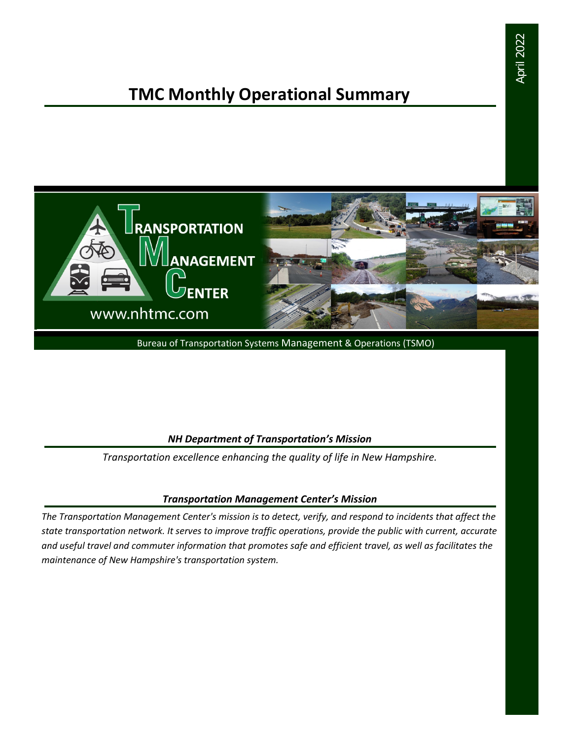## **TMC Monthly Operational Summary**



Bureau of Transportation Systems Management & Operations (TSMO)

#### *NH Department of Transportation's Mission*

*Transportation excellence enhancing the quality of life in New Hampshire.*

#### *Transportation Management Center's Mission*

*The Transportation Management Center's mission is to detect, verify, and respond to incidents that affect the state transportation network. It serves to improve traffic operations, provide the public with current, accurate and useful travel and commuter information that promotes safe and efficient travel, as well as facilitates the maintenance of New Hampshire's transportation system.*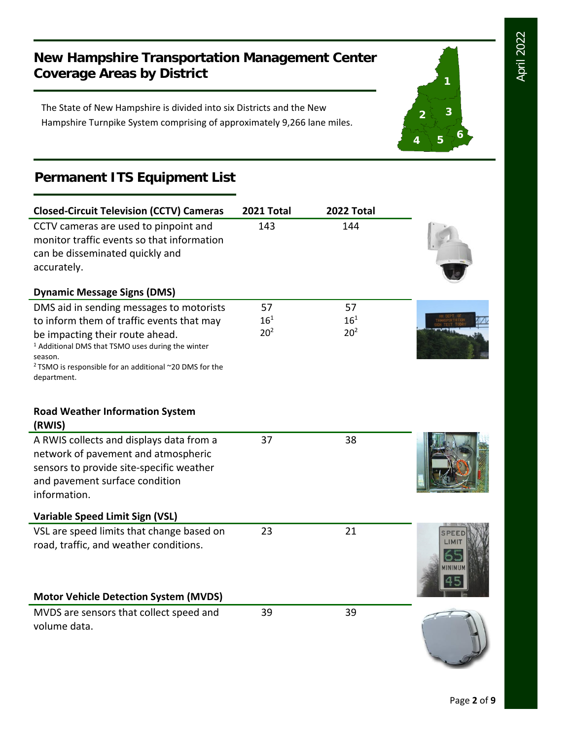**1**

**2 3**

**<sup>4</sup> <sup>5</sup> <sup>6</sup>**

#### **New Hampshire Transportation Management Center Coverage Areas by District**

The State of New Hampshire is divided into six Districts and the New Hampshire Turnpike System comprising of approximately 9,266 lane miles.

#### **Permanent ITS Equipment List**

| <b>Closed-Circuit Television (CCTV) Cameras</b>                                                                                                                                                 | 2021 Total      | 2022 Total      |               |
|-------------------------------------------------------------------------------------------------------------------------------------------------------------------------------------------------|-----------------|-----------------|---------------|
| CCTV cameras are used to pinpoint and<br>monitor traffic events so that information<br>can be disseminated quickly and<br>accurately.                                                           | 143             | 144             |               |
|                                                                                                                                                                                                 |                 |                 |               |
| <b>Dynamic Message Signs (DMS)</b>                                                                                                                                                              |                 |                 |               |
| DMS aid in sending messages to motorists                                                                                                                                                        | 57              | 57              |               |
| to inform them of traffic events that may                                                                                                                                                       | $16^{1}$        | $16^{1}$        |               |
| be impacting their route ahead.<br><sup>1</sup> Additional DMS that TSMO uses during the winter<br>season.<br><sup>2</sup> TSMO is responsible for an additional ~20 DMS for the<br>department. | 20 <sup>2</sup> | 20 <sup>2</sup> |               |
| <b>Road Weather Information System</b><br>(RWIS)                                                                                                                                                |                 |                 |               |
| A RWIS collects and displays data from a                                                                                                                                                        | 37              | 38              |               |
| network of pavement and atmospheric                                                                                                                                                             |                 |                 |               |
| sensors to provide site-specific weather                                                                                                                                                        |                 |                 |               |
| and pavement surface condition                                                                                                                                                                  |                 |                 |               |
| information.                                                                                                                                                                                    |                 |                 |               |
| <b>Variable Speed Limit Sign (VSL)</b>                                                                                                                                                          |                 |                 |               |
| VSL are speed limits that change based on                                                                                                                                                       | 23              | 21              |               |
| road, traffic, and weather conditions.                                                                                                                                                          |                 |                 | <b>INIMUM</b> |
| <b>Motor Vehicle Detection System (MVDS)</b>                                                                                                                                                    |                 |                 |               |
| MVDS are sensors that collect speed and<br>volume data.                                                                                                                                         | 39              | 39              |               |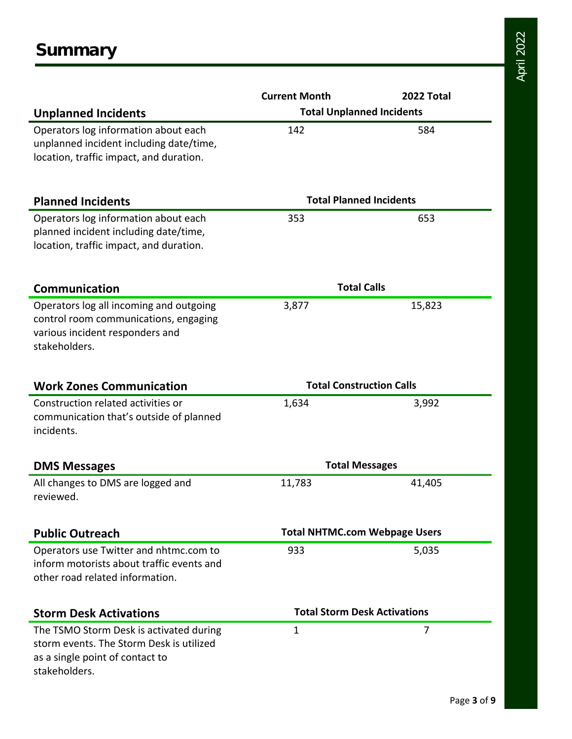|                                           | <b>Current Month</b>                 | 2022 Total |  |
|-------------------------------------------|--------------------------------------|------------|--|
| <b>Unplanned Incidents</b>                | <b>Total Unplanned Incidents</b>     |            |  |
| Operators log information about each      | 142                                  | 584        |  |
| unplanned incident including date/time,   |                                      |            |  |
| location, traffic impact, and duration.   |                                      |            |  |
|                                           |                                      |            |  |
| <b>Planned Incidents</b>                  | <b>Total Planned Incidents</b>       |            |  |
| Operators log information about each      | 353                                  | 653        |  |
| planned incident including date/time,     |                                      |            |  |
| location, traffic impact, and duration.   |                                      |            |  |
| <b>Communication</b>                      | <b>Total Calls</b>                   |            |  |
| Operators log all incoming and outgoing   | 3,877                                | 15,823     |  |
| control room communications, engaging     |                                      |            |  |
| various incident responders and           |                                      |            |  |
| stakeholders.                             |                                      |            |  |
|                                           |                                      |            |  |
| <b>Work Zones Communication</b>           | <b>Total Construction Calls</b>      |            |  |
| Construction related activities or        | 1,634                                | 3,992      |  |
| communication that's outside of planned   |                                      |            |  |
| incidents.                                |                                      |            |  |
| <b>DMS Messages</b>                       | <b>Total Messages</b>                |            |  |
| All changes to DMS are logged and         | 11,783                               | 41,405     |  |
| reviewed.                                 |                                      |            |  |
| <b>Public Outreach</b>                    | <b>Total NHTMC.com Webpage Users</b> |            |  |
| Operators use Twitter and nhtmc.com to    | 933                                  | 5,035      |  |
| inform motorists about traffic events and |                                      |            |  |
| other road related information.           |                                      |            |  |
|                                           |                                      |            |  |
| <b>Storm Desk Activations</b>             | <b>Total Storm Desk Activations</b>  |            |  |
| The TSMO Storm Desk is activated during   | 1                                    | 7          |  |
| storm events. The Storm Desk is utilized  |                                      |            |  |
| as a single point of contact to           |                                      |            |  |
| stakeholders.                             |                                      |            |  |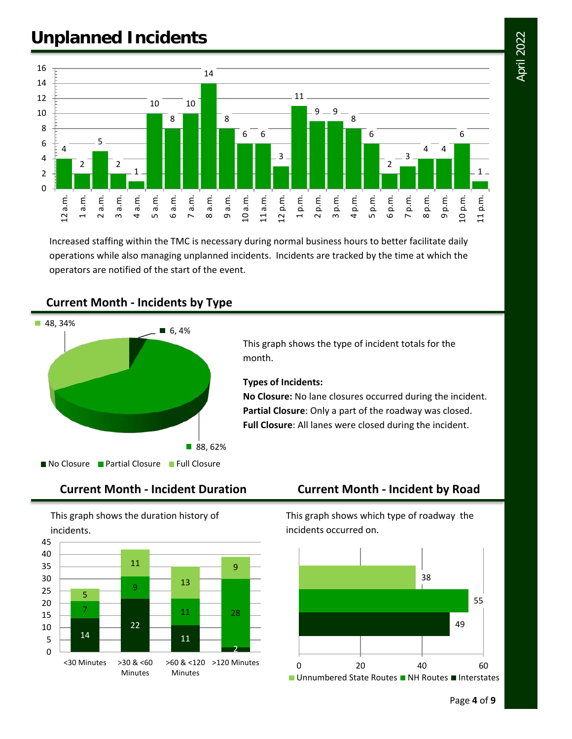# April 2022

## **Unplanned Incidents**



Increased staffing within the TMC is necessary during normal business hours to better facilitate daily operations while also managing unplanned incidents. Incidents are tracked by the time at which the operators are notified of the start of the event.





This graph shows the type of incident totals for the month.

#### **Types of Incidents:**

**No Closure:** No lane closures occurred during the incident. **Partial Closure**: Only a part of the roadway was closed. **Full Closure**: All lanes were closed during the incident.

#### **Current Month - Incident Duration Current Month - Incident by Road**

This graph shows the duration history of incidents.



This graph shows which type of roadway the incidents occurred on.

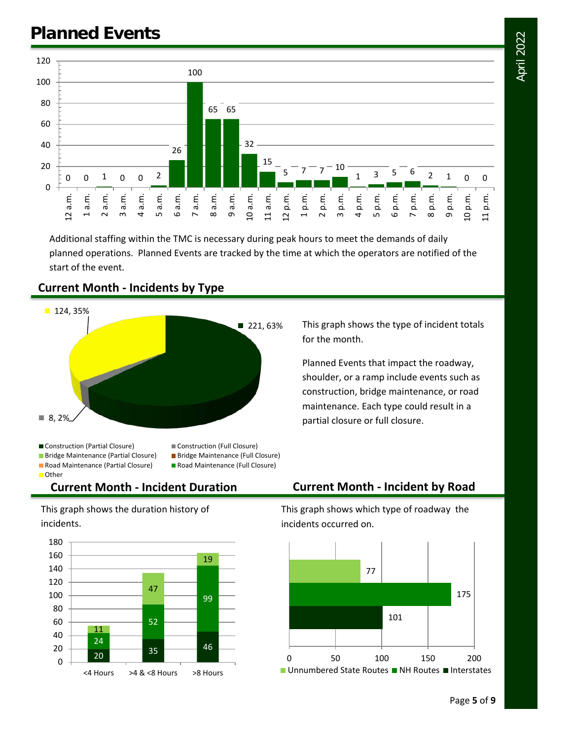

Additional staffing within the TMC is necessary during peak hours to meet the demands of daily planned operations. Planned Events are tracked by the time at which the operators are notified of the start of the event.

## ■ 221, 63%  $\blacksquare$  8, 2%  $124, 35%$ ■ Construction (Partial Closure) Construction (Full Closure) ■ Bridge Maintenance (Partial Closure) ■ Bridge Maintenance (Full Closure)

#### **Current Month - Incidents by Type**

This graph shows the type of incident totals for the month.

Planned Events that impact the roadway, shoulder, or a ramp include events such as construction, bridge maintenance, or road maintenance. Each type could result in a partial closure or full closure.

■ Road Maintenance (Partial Closure) ■ Road Maintenance (Full Closure) **Other** 

- 
- 

This graph shows the duration history of incidents.



#### **Current Month - Incident Duration Current Month - Incident by Road**

This graph shows which type of roadway the incidents occurred on.



Page **5** of **9**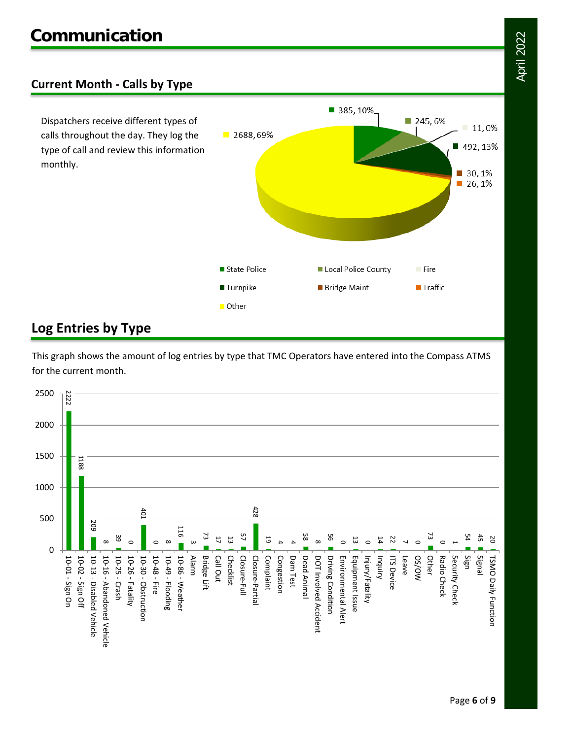#### **Current Month - Calls by Type**

Dispatchers receive different types of calls throughout the day. They log the type of call and review this information monthly.



#### **Log Entries by Type**

This graph shows the amount of log entries by type that TMC Operators have entered into the Compass ATMS for the current month.

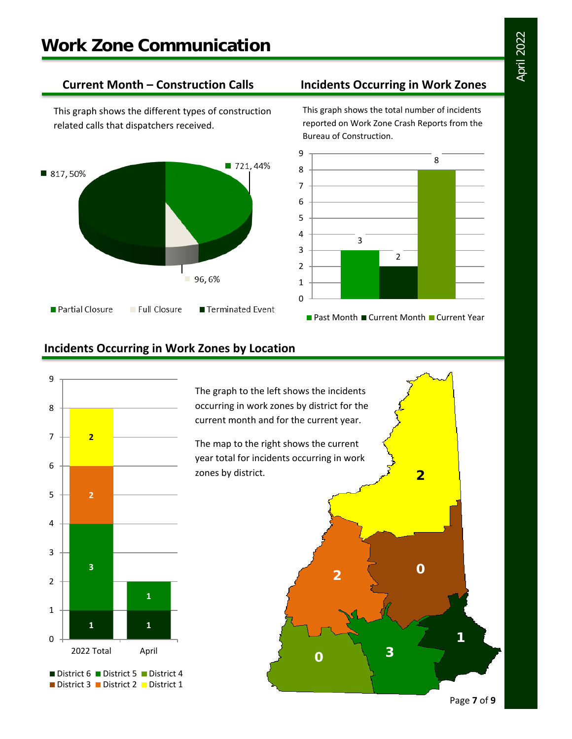This graph shows the different types of construction related calls that dispatchers received.



#### **Current Month – Construction Calls Incidents Occurring in Work Zones**

This graph shows the total number of incidents reported on Work Zone Crash Reports from the Bureau of Construction.



#### **Incidents Occurring in Work Zones by Location**



The graph to the left shows the incidents occurring in work zones by district for the current month and for the current year.

The map to the right shows the current year total for incidents occurring in work zones by district.

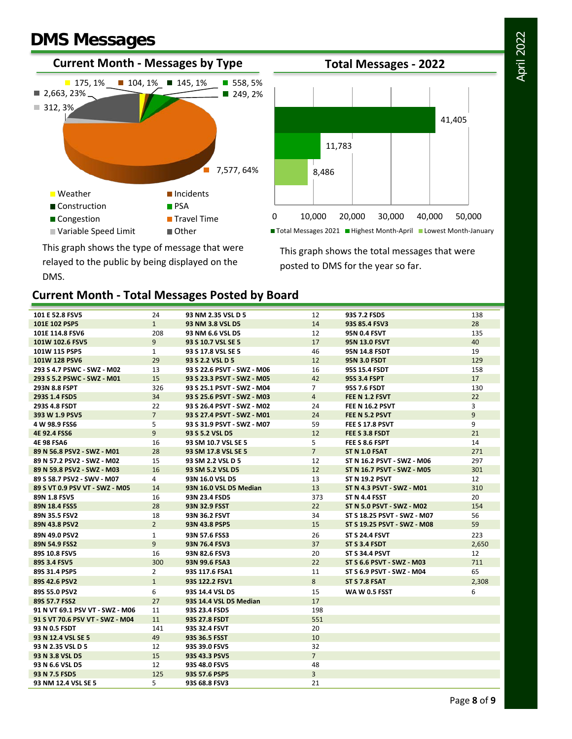### **DMS Messages**





This graph shows the total messages that were posted to DMS for the year so far.

This graph shows the type of message that were relayed to the public by being displayed on the DMS.

#### **Current Month - Total Messages Posted by Board**

| 101 E 52.8 FSV5                 | 24             | 93 NM 2.35 VSL D 5         | 12             | 93S 7.2 FSD5                | 138   |
|---------------------------------|----------------|----------------------------|----------------|-----------------------------|-------|
| 101E 102 PSP5                   | $\mathbf{1}$   | 93 NM 3.8 VSL D5           | 14             | 93S 85.4 FSV3               | 28    |
| 101E 114.8 FSV6                 | 208            | 93 NM 6.6 VSL D5           | 12             | <b>95N 0.4 FSVT</b>         | 135   |
| 101W 102.6 FSV5                 | 9              | 93 S 10.7 VSL SE 5         | 17             | <b>95N 13.0 FSVT</b>        | 40    |
| 101W 115 PSP5                   | $\mathbf{1}$   | 93 S 17.8 VSL SE 5         | 46             | 95N 14.8 FSDT               | 19    |
| 101W 128 PSV6                   | 29             | 93 S 2.2 VSL D 5           | 12             | <b>95N 3.0 FSDT</b>         | 129   |
| 293 S 4.7 PSWC - SWZ - M02      | 13             | 93 S 22.6 PSVT - SWZ - M06 | 16             | 95S 15.4 FSDT               | 158   |
| 293 S 5.2 PSWC - SWZ - M01      | 15             | 93 S 23.3 PSVT - SWZ - M05 | 42             | 95S 3.4 FSPT                | 17    |
| 293N 8.8 FSPT                   | 326            | 93 S 25.1 PSVT - SWZ - M04 | $\overline{7}$ | 95S 7.6 FSDT                | 130   |
| 293S 1.4 FSD5                   | 34             | 93 S 25.6 PSVT - SWZ - M03 | $\overline{4}$ | FEE N 1.2 FSVT              | 22    |
| 293S 4.8 FSDT                   | 22             | 93 S 26.4 PSVT - SWZ - M02 | 24             | <b>FEE N 16.2 PSVT</b>      | 3     |
| 393 W 1.9 PSV5                  | $\overline{7}$ | 93 S 27.4 PSVT - SWZ - M01 | 24             | FEE N 5.2 PSVT              | 9     |
| 4 W 98.9 FSS6                   | 5              | 93 S 31.9 PSVT - SWZ - M07 | 59             | FEE S 17.8 PSVT             | 9     |
| 4E 92.4 FSS6                    | 9              | 93 S 5.2 VSL D5            | 12             | FEE S 3.8 FSDT              | 21    |
| <b>4E 98 FSA6</b>               | 16             | 93 SM 10.7 VSL SE 5        | 5              | FEE S 8.6 FSPT              | 14    |
| 89 N 56.8 PSV2 - SWZ - M01      | 28             | 93 SM 17.8 VSL SE 5        | $\overline{7}$ | <b>ST N 1.0 FSAT</b>        | 271   |
| 89 N 57.2 PSV2 - SWZ - M02      | 15             | 93 SM 2.2 VSL D 5          | 12             | ST N 16.2 PSVT - SWZ - M06  | 297   |
| 89 N 59.8 PSV2 - SWZ - M03      | 16             | 93 SM 5.2 VSL D5           | 12             | ST N 16.7 PSVT - SWZ - M05  | 301   |
| 89 S 58.7 PSV2 - SWV - M07      | 4              | 93N 16.0 VSL D5            | 13             | <b>ST N 19.2 PSVT</b>       | 12    |
| 89 S VT 0.9 PSV VT - SWZ - M05  | 14             | 93N 16.0 VSL D5 Median     | 13             | ST N 4.3 PSVT - SWZ - M01   | 310   |
| 89N 1.8 FSV5                    | 16             | 93N 23.4 FSD5              | 373            | ST N 4.4 FSST               | 20    |
| 89N 18.4 FSS5                   | 28             | 93N 32.9 FSST              | 22             | ST N 5.0 PSVT - SWZ - M02   | 154   |
| 89N 35.5 FSV2                   | 18             | 93N 36.2 FSVT              | 34             | ST S 18.25 PSVT - SWZ - M07 | 56    |
| 89N 43.8 PSV2                   | $\overline{2}$ | 93N 43.8 PSP5              | 15             | ST S 19.25 PSVT - SWZ - M08 | 59    |
| 89N 49.0 PSV2                   | $\mathbf{1}$   | 93N 57.6 FSS3              | 26             | <b>ST S 24.4 FSVT</b>       | 223   |
| 89N 54.9 FSS2                   | $\overline{9}$ | 93N 76.4 FSV3              | 37             | ST S 3.4 FSDT               | 2,650 |
| 89S 10.8 FSV5                   | 16             | 93N 82.6 FSV3              | 20             | <b>ST S 34.4 PSVT</b>       | 12    |
| 89S 3.4 FSV5                    | 300            | 93N 99.6 FSA3              | 22             | ST S 6.6 PSVT - SWZ - M03   | 711   |
| 89S 31.4 PSP5                   | $\overline{2}$ | 93S 117.6 FSA1             | 11             | ST S 6.9 PSVT - SWZ - M04   | 65    |
| 89S 42.6 PSV2                   | $\mathbf{1}$   | 93S 122.2 FSV1             | 8              | ST S 7.8 FSAT               | 2,308 |
| 89S 55.0 PSV2                   | 6              | 93S 14.4 VSL D5            | 15             | <b>WA W 0.5 FSST</b>        | 6     |
| 89S 57.7 FSS2                   | 27             | 93S 14.4 VSL D5 Median     | 17             |                             |       |
| 91 N VT 69.1 PSV VT - SWZ - M06 | 11             | 93S 23.4 FSD5              | 198            |                             |       |
| 91 S VT 70.6 PSV VT - SWZ - M04 | 11             | 93S 27.8 FSDT              | 551            |                             |       |
| 93 N 0.5 FSDT                   | 141            | 93S 32.4 FSVT              | 20             |                             |       |
| 93 N 12.4 VSL SE 5              | 49             | 93S 36.5 FSST              | 10             |                             |       |
| 93 N 2.35 VSL D 5               | 12             | 93S 39.0 FSV5              | 32             |                             |       |
| 93 N 3.8 VSL D5                 | 15             | 93S 43.3 PSV5              | $\overline{7}$ |                             |       |
| 93 N 6.6 VSL D5                 | 12             | 93S 48.0 FSV5              | 48             |                             |       |
| 93 N 7.5 FSD5                   | 125            | 93S 57.6 PSP5              | $\overline{3}$ |                             |       |
| 93 NM 12.4 VSL SE 5             | 5              | 93S 68.8 FSV3              | 21             |                             |       |
|                                 |                |                            |                |                             |       |